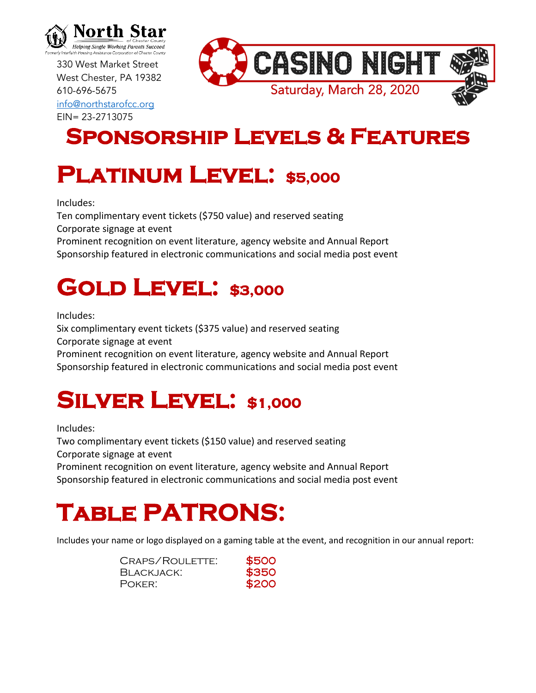

330 West Market Street West Chester, PA 19382 610-696-5675 [info@northstarofcc.org](mailto:info@northstarofcc.org) EIN= 23-2713075



#### **Sponsorship Levels & Features**

## **PLATINUM LEVEL: \$5,000**

Includes:

Ten complimentary event tickets (\$750 value) and reserved seating Corporate signage at event

Prominent recognition on event literature, agency website and Annual Report Sponsorship featured in electronic communications and social media post event

### **GOLD LEVEL: \$3,000**

Includes:

Six complimentary event tickets (\$375 value) and reserved seating Corporate signage at event

Prominent recognition on event literature, agency website and Annual Report Sponsorship featured in electronic communications and social media post event

#### **SILVER LEVEL: \$1,000**

Includes:

Two complimentary event tickets (\$150 value) and reserved seating Corporate signage at event

Prominent recognition on event literature, agency website and Annual Report Sponsorship featured in electronic communications and social media post event

# **Table PATRONS:**

Includes your name or logo displayed on a gaming table at the event, and recognition in our annual report:

CRAPS/ROULETTE: \$500 BLACKJACK: \$350 POKER: \$200